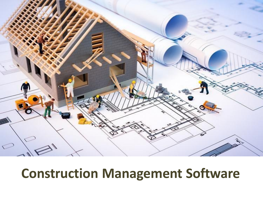

# **Construction Management Software**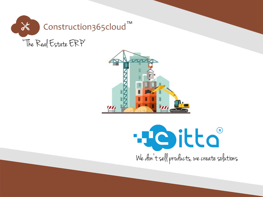



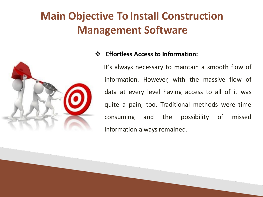

### **Effortless Access to Information:**

It's always necessary to maintain a smooth flow of information. However, with the massive flow of data at every level having access to all of it was quite a pain, too. Traditional methods were time consuming and the possibility of missed information always remained.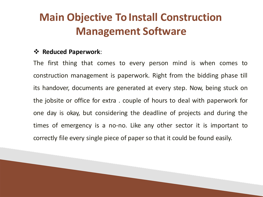### **Reduced Paperwork**:

The first thing that comes to every person mind is when comes to construction management is paperwork. Right from the bidding phase till its handover, documents are generated at every step. Now, being stuck on the jobsite or office for extra . couple of hours to deal with paperwork for one day is okay, but considering the deadline of projects and during the times of emergency is a no-no. Like any other sector it is important to correctly file every single piece of paper so that it could be found easily.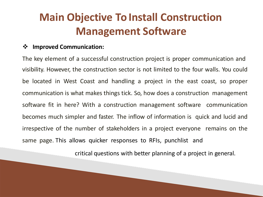#### **Improved Communication:**

The key element of a successful construction project is proper communication and visibility. However, the construction sector is not limited to the four walls. You could be located in West Coast and handling a project in the east coast, so proper communication is what makes things tick. So, how does a construction management software fit in here? With a construction management software communication becomes much simpler and faster. The inflow of information is quick and lucid and irrespective of the number of stakeholders in a project everyone remains on the same page. This allows quicker responses to RFIs, punchlist and

critical questions with better planning of a project in general.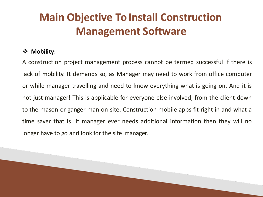### **Mobility:**

A construction project management process cannot be termed successful if there is lack of mobility. It demands so, as Manager may need to work from office computer or while manager travelling and need to know everything what is going on. And it is not just manager! This is applicable for everyone else involved, from the client down to the mason or ganger man on-site. Construction mobile apps fit right in and what a time saver that is! if manager ever needs additional information then they will no longer have to go and look for the site manager.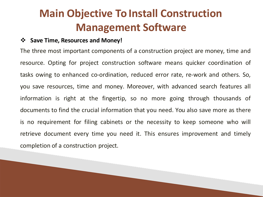### **Save Time, Resources and Money!**

The three most important components of a construction project are money, time and resource. Opting for project construction software means quicker coordination of tasks owing to enhanced co-ordination, reduced error rate, re-work and others. So, you save resources, time and money. Moreover, with advanced search features all information is right at the fingertip, so no more going through thousands of documents to find the crucial information that you need. You also save more as there is no requirement for filing cabinets or the necessity to keep someone who will retrieve document every time you need it. This ensures improvement and timely completion of a construction project.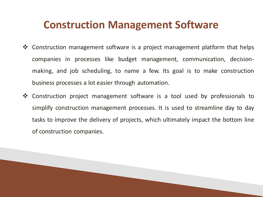### **Construction Management Software**

- ❖ Construction management software is a project management platform that helps companies in processes like budget management, communication, decisionmaking, and job scheduling, to name a few. Its goal is to make construction business processes a lot easier through automation.
- Construction project management software is a tool used by professionals to simplify construction management processes. It is used to streamline day to day tasks to improve the delivery of projects, which ultimately impact the bottom line of construction companies.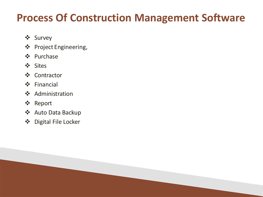### **Process Of Construction Management Software**

- Survey
- ❖ Project Engineering,
- ❖ Purchase
- Sites
- ❖ Contractor
- Financial
- ❖ Administration
- Report
- Auto Data Backup
- Digital File Locker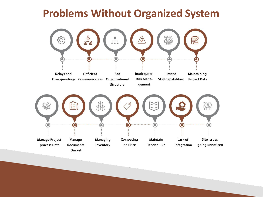### **Problems Without Organized System**

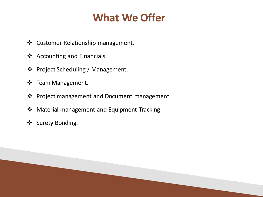### **What We Offer**

- ❖ Customer Relationship management.
- **❖** Accounting and Financials.
- ❖ Project Scheduling / Management.
- ❖ Team Management.
- ❖ Project management and Document management.
- ◆ Material management and Equipment Tracking.
- ❖ Surety Bonding.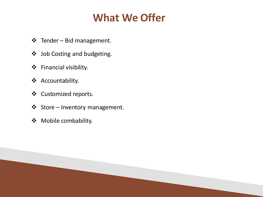### **What We Offer**

- Tender Bid management.
- Job Costing and budgeting.
- Financial visibility.
- Accountability.
- Customized reports.
- Store Inventory management.
- Mobile combability.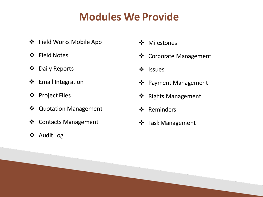- ❖ Field Works Mobile App
- Field Notes
- Daily Reports
- ❖ Email Integration
- Project Files
- Quotation Management
- ❖ Contacts Management
- Audit Log
- ❖ Milestones
- Corporate Management
- ❖ Issues
- ❖ Payment Management
- ❖ Rights Management
- ❖ Reminders
- ❖ Task Management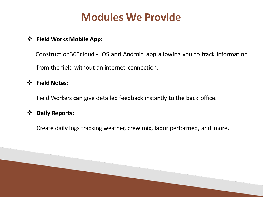### **Field Works Mobile App:**

Construction365cloud - iOS and Android app allowing you to track information from the field without an internet connection.

#### **Field Notes:**

Field Workers can give detailed feedback instantly to the back office.

#### **Daily Reports:**

Create daily logs tracking weather, crew mix, labor performed, and more.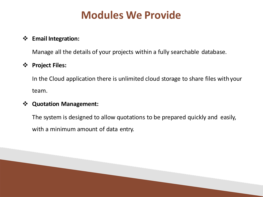### **Email Integration:**

Manage all the details of your projects within a fully searchable database.

#### **Project Files:**

In the Cloud application there is unlimited cloud storage to share files with your team.

#### **Quotation Management:**

The system is designed to allow quotations to be prepared quickly and easily, with a minimum amount of data entry.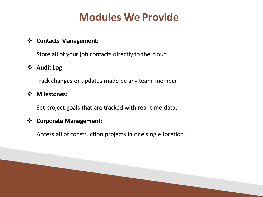#### **Contacts Management:**

Store all of your job contacts directly to the cloud.

### **Audit Log:**

Track changes or updates made by any team member.

#### **Milestones:**

Set project goals that are tracked with real-time data.

#### **Corporate Management:**

Access all of construction projects in one single location.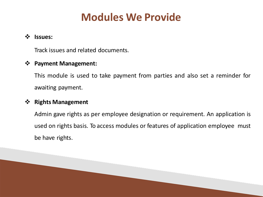### **Issues:**

Track issues and related documents.

### **Payment Management:**

This module is used to take payment from parties and also set a reminder for awaiting payment.

#### **Rights Management**

Admin gave rights as per employee designation or requirement. An application is used on rights basis. To access modules or features of application employee must be have rights.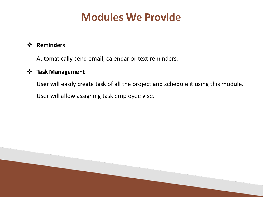#### **Reminders**

Automatically send email, calendar or text reminders.

### **Task Management**

User will easily create task of all the project and schedule it using this module. User will allow assigning task employee vise.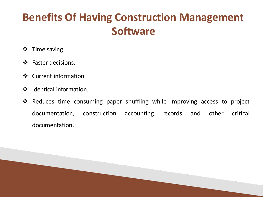## **Benefits Of Having Construction Management Software**

- $\div$  Time saving.
- ❖ Faster decisions.
- ❖ Current information.
- ❖ Identical information.
- Reduces time consuming paper shuffling while improving access to project documentation, construction accounting records and other critical documentation.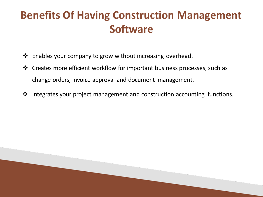## **Benefits Of Having Construction Management Software**

- Enables your company to grow without increasing overhead.
- ❖ Creates more efficient workflow for important business processes, such as change orders, invoice approval and document management.
- $\cdot$  Integrates your project management and construction accounting functions.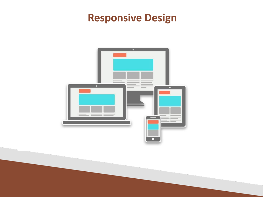## **Responsive Design**

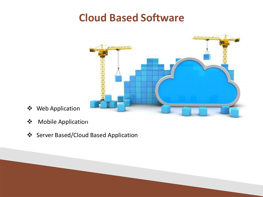### **Cloud Based Software**



- Web Application
- Mobile Application
- ❖ Server Based/Cloud Based Application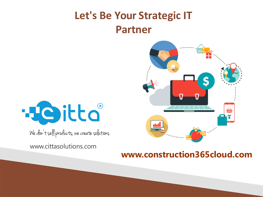## **Let's Be Your Strategic IT Partner**





We don't sell products, we create solutions

www.cittasolutions.com

### **www.construction365cloud.com**